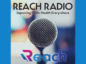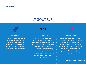## About Us



#### Our Mission

To make a positive long-lasting difference in the delivery of care and the health journey of all people. We are improving the overall experience of healthcare for both patients and providers



#### Our History

 $\boldsymbol{0}$ 

 $\theta$ 

REACH is a 501c3 global social impact organization. Established in 2016, the organization supports the role of public health professionals in influencing and shaping the conversations most paramount to access to quality care, equity in the practice and delivery of care, and mutual trust and respect in providerprovider and provider-patient relationships



#### What We Do

We are focused on closing gaps in healthcare, bridging the perceptions and interests of healthcare administrators, the experience of front line care providers, and the needs and expectations of patients. We are driving change through research, education, innovation and thought leadership.

**Contact us at podcast@reachtl.org**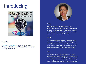# Introducing



#### Hosted by

Fran Ayalasomayajula, MPH, MSMIS, PMP President Reach and HP Head of Digital Health Strategy Worldwide



#### Why

Healthcare professionals want to provide meaningful and effective care, but the industry is stuck in old ways that don't adequately support their efforts. Many are seeking new channels for accessing resources and education.

#### **What**

We are elevating the voice of the public health community to drive positive change. We put a spotlight on innovation and novel approaches to system optimization. We promote health equity and the adoption of digital health technology.

#### Who

Our guests are non-governmental, non-profit, patient advocacy and professional organizations. Our forum extends the reach of the public health community, by giving those on the frontlines both an avenue from which to be heard and to connect.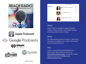











#### And more...



#### **Where**

Reach Radio is available on Apple Podcasts, Google, Spotify, YouTube, and all other podcast streaming platforms free of charge.

#### When

Our debut episode aired on October 7, 2020. New episodes are available once a week, plus themed series throughout the year.

#### **How**

Listen on your favorite podcast platform by searching for Reach Radio or access on <http://reachtl.org/reach-radio> . Interested in being a guest on the show? **Contact us at podcast@reachtl.org**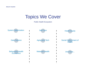### Topics We Cover

#### Public Health Ecosystem

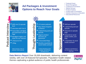

### **Ad Packages & Investment Options to Reach Your Goals**

- ✓ Featured Guest
- ✓ Brand Recognition
- ✓ Conference Promotions
- ✓ Market Surveys
- ✓ Product Feature
- ✓ Product Ads & Promotions
- ✓ Solution Discovery & Education
- ✓ Educational Resources



- \$495 one (1) episode limit
- $\blacksquare$  Interview with Fran A.
- $\blacksquare$  Transcribed, abridged, and optimized episode Page
- $\blacksquare$  Abridged insights and notes for our listeners
- $\blacksquare$  1 Resource link
- 1 Blog

Most Common. One (1) episode, limited spacing





Minimum commitment of five (5) episodes or starting at \$2,250.

**Data Metrics Report** Over 35,000 downloads, delivering content weekly, with over 20 featured full episodes. Population health related themes captivating a global audience of public health professionals

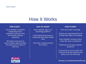# How It Works

#### **PRE-EVENT**

Guest speaker completes onboarding forms, schedules interview time and reviews podcast questions

Reminder email sent to guest speaker approximately one week prior to date of interview

#### **DAY OF EVENT**

Guest speaker logs on to recordingg platform

 $\boldsymbol{0}$ 

Conversational interview is conducted with Reach Radio **Host** 

Interview is approximately 25-minutes

#### **POST EVENT**

Tech team edits recording.

Podcast airs approximately 6 to 8 week from date of recording

Guest Speaker receives notice when the show is published

Published on all major podcast platforms

Announced on social media and archived on Reach website with photo, bio, and transcript